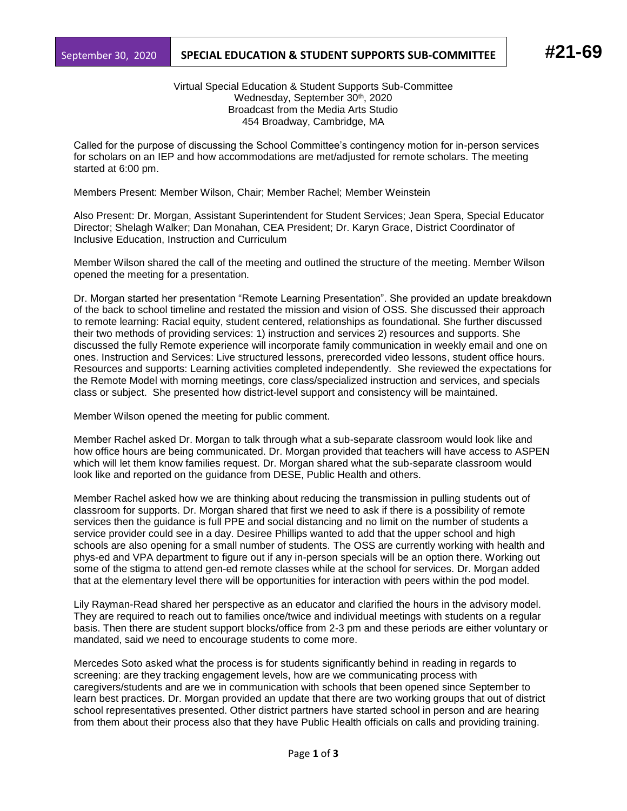## September 30, 2020 **SPECIAL EDUCATION & STUDENT SUPPORTS SUB-COMMITTEE #21-69**

Virtual Special Education & Student Supports Sub-Committee Wednesday, September 30<sup>th</sup>, 2020 Broadcast from the Media Arts Studio 454 Broadway, Cambridge, MA

Called for the purpose of discussing the School Committee's contingency motion for in-person services for scholars on an IEP and how accommodations are met/adjusted for remote scholars. The meeting started at 6:00 pm.

Members Present: Member Wilson, Chair; Member Rachel; Member Weinstein

Also Present: Dr. Morgan, Assistant Superintendent for Student Services; Jean Spera, Special Educator Director; Shelagh Walker; Dan Monahan, CEA President; Dr. Karyn Grace, District Coordinator of Inclusive Education, Instruction and Curriculum

Member Wilson shared the call of the meeting and outlined the structure of the meeting. Member Wilson opened the meeting for a presentation.

Dr. Morgan started her presentation "Remote Learning Presentation". She provided an update breakdown of the back to school timeline and restated the mission and vision of OSS. She discussed their approach to remote learning: Racial equity, student centered, relationships as foundational. She further discussed their two methods of providing services: 1) instruction and services 2) resources and supports. She discussed the fully Remote experience will incorporate family communication in weekly email and one on ones. Instruction and Services: Live structured lessons, prerecorded video lessons, student office hours. Resources and supports: Learning activities completed independently. She reviewed the expectations for the Remote Model with morning meetings, core class/specialized instruction and services, and specials class or subject. She presented how district-level support and consistency will be maintained.

Member Wilson opened the meeting for public comment.

Member Rachel asked Dr. Morgan to talk through what a sub-separate classroom would look like and how office hours are being communicated. Dr. Morgan provided that teachers will have access to ASPEN which will let them know families request. Dr. Morgan shared what the sub-separate classroom would look like and reported on the guidance from DESE, Public Health and others.

Member Rachel asked how we are thinking about reducing the transmission in pulling students out of classroom for supports. Dr. Morgan shared that first we need to ask if there is a possibility of remote services then the guidance is full PPE and social distancing and no limit on the number of students a service provider could see in a day. Desiree Phillips wanted to add that the upper school and high schools are also opening for a small number of students. The OSS are currently working with health and phys-ed and VPA department to figure out if any in-person specials will be an option there. Working out some of the stigma to attend gen-ed remote classes while at the school for services. Dr. Morgan added that at the elementary level there will be opportunities for interaction with peers within the pod model.

Lily Rayman-Read shared her perspective as an educator and clarified the hours in the advisory model. They are required to reach out to families once/twice and individual meetings with students on a regular basis. Then there are student support blocks/office from 2-3 pm and these periods are either voluntary or mandated, said we need to encourage students to come more.

Mercedes Soto asked what the process is for students significantly behind in reading in regards to screening: are they tracking engagement levels, how are we communicating process with caregivers/students and are we in communication with schools that been opened since September to learn best practices. Dr. Morgan provided an update that there are two working groups that out of district school representatives presented. Other district partners have started school in person and are hearing from them about their process also that they have Public Health officials on calls and providing training.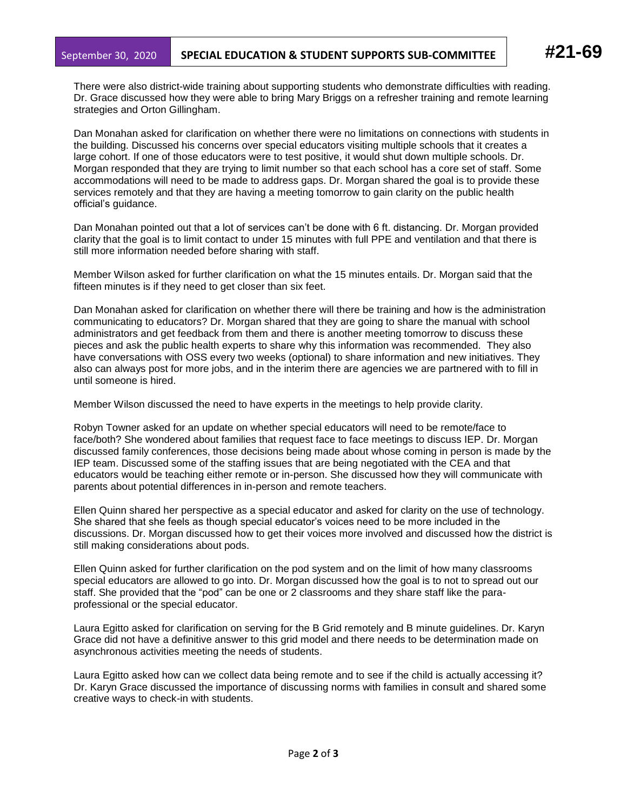There were also district-wide training about supporting students who demonstrate difficulties with reading. Dr. Grace discussed how they were able to bring Mary Briggs on a refresher training and remote learning strategies and Orton Gillingham.

Dan Monahan asked for clarification on whether there were no limitations on connections with students in the building. Discussed his concerns over special educators visiting multiple schools that it creates a large cohort. If one of those educators were to test positive, it would shut down multiple schools. Dr. Morgan responded that they are trying to limit number so that each school has a core set of staff. Some accommodations will need to be made to address gaps. Dr. Morgan shared the goal is to provide these services remotely and that they are having a meeting tomorrow to gain clarity on the public health official's guidance.

Dan Monahan pointed out that a lot of services can't be done with 6 ft. distancing. Dr. Morgan provided clarity that the goal is to limit contact to under 15 minutes with full PPE and ventilation and that there is still more information needed before sharing with staff.

Member Wilson asked for further clarification on what the 15 minutes entails. Dr. Morgan said that the fifteen minutes is if they need to get closer than six feet.

Dan Monahan asked for clarification on whether there will there be training and how is the administration communicating to educators? Dr. Morgan shared that they are going to share the manual with school administrators and get feedback from them and there is another meeting tomorrow to discuss these pieces and ask the public health experts to share why this information was recommended. They also have conversations with OSS every two weeks (optional) to share information and new initiatives. They also can always post for more jobs, and in the interim there are agencies we are partnered with to fill in until someone is hired.

Member Wilson discussed the need to have experts in the meetings to help provide clarity.

Robyn Towner asked for an update on whether special educators will need to be remote/face to face/both? She wondered about families that request face to face meetings to discuss IEP. Dr. Morgan discussed family conferences, those decisions being made about whose coming in person is made by the IEP team. Discussed some of the staffing issues that are being negotiated with the CEA and that educators would be teaching either remote or in-person. She discussed how they will communicate with parents about potential differences in in-person and remote teachers.

Ellen Quinn shared her perspective as a special educator and asked for clarity on the use of technology. She shared that she feels as though special educator's voices need to be more included in the discussions. Dr. Morgan discussed how to get their voices more involved and discussed how the district is still making considerations about pods.

Ellen Quinn asked for further clarification on the pod system and on the limit of how many classrooms special educators are allowed to go into. Dr. Morgan discussed how the goal is to not to spread out our staff. She provided that the "pod" can be one or 2 classrooms and they share staff like the paraprofessional or the special educator.

Laura Egitto asked for clarification on serving for the B Grid remotely and B minute guidelines. Dr. Karyn Grace did not have a definitive answer to this grid model and there needs to be determination made on asynchronous activities meeting the needs of students.

Laura Egitto asked how can we collect data being remote and to see if the child is actually accessing it? Dr. Karyn Grace discussed the importance of discussing norms with families in consult and shared some creative ways to check-in with students.